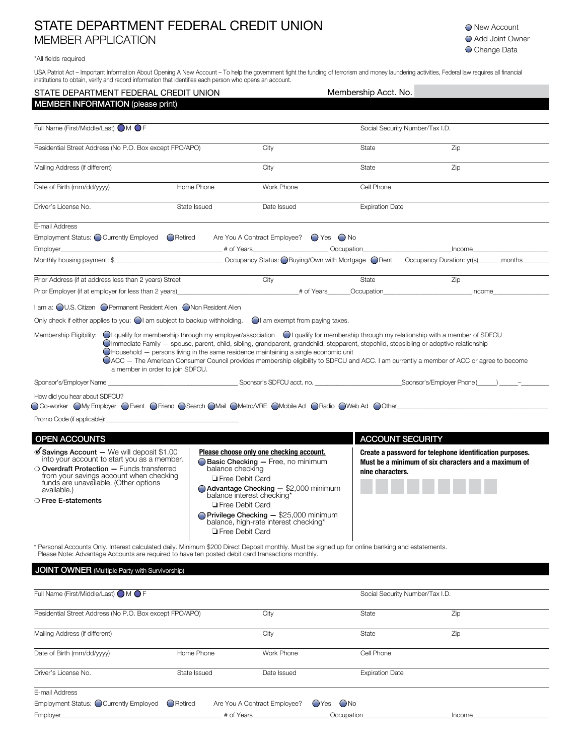## STATE DEPARTMENT FEDERAL CREDIT UNION MEMBER APPLICATION

**O** New Account ● Add Joint Owner O Change Data

## \*All fields required

USA Patriot Act – Important Information About Opening A New Account – To help the government fight the funding of terrorism and money laundering activities, Federal law requires all financial institutions to obtain, verify and record information that identifies each person who opens an account.

| STATE DEPARTMENT FEDERAL CREDIT UNION                                                                                                                                                                                                                                                                                                                                                                                                                                                                                                                                                                                                                                                                                                                                                                                                                                                                                                                                                                                                                                                                                                                                                                                                                                                                                                                                                                                                                                                                                                                                                                                                                                                                                                                                                                                                                                                                                                               |                  |                                                                                                                                                                                                                                                                                                                         | Membership Acct. No.                      |                                                                                                                  |                                                                                                                                                                                                                                |  |  |
|-----------------------------------------------------------------------------------------------------------------------------------------------------------------------------------------------------------------------------------------------------------------------------------------------------------------------------------------------------------------------------------------------------------------------------------------------------------------------------------------------------------------------------------------------------------------------------------------------------------------------------------------------------------------------------------------------------------------------------------------------------------------------------------------------------------------------------------------------------------------------------------------------------------------------------------------------------------------------------------------------------------------------------------------------------------------------------------------------------------------------------------------------------------------------------------------------------------------------------------------------------------------------------------------------------------------------------------------------------------------------------------------------------------------------------------------------------------------------------------------------------------------------------------------------------------------------------------------------------------------------------------------------------------------------------------------------------------------------------------------------------------------------------------------------------------------------------------------------------------------------------------------------------------------------------------------------------|------------------|-------------------------------------------------------------------------------------------------------------------------------------------------------------------------------------------------------------------------------------------------------------------------------------------------------------------------|-------------------------------------------|------------------------------------------------------------------------------------------------------------------|--------------------------------------------------------------------------------------------------------------------------------------------------------------------------------------------------------------------------------|--|--|
| <b>MEMBER INFORMATION (please print)</b>                                                                                                                                                                                                                                                                                                                                                                                                                                                                                                                                                                                                                                                                                                                                                                                                                                                                                                                                                                                                                                                                                                                                                                                                                                                                                                                                                                                                                                                                                                                                                                                                                                                                                                                                                                                                                                                                                                            |                  |                                                                                                                                                                                                                                                                                                                         |                                           |                                                                                                                  |                                                                                                                                                                                                                                |  |  |
| Full Name (First/Middle/Last) ● M ● F                                                                                                                                                                                                                                                                                                                                                                                                                                                                                                                                                                                                                                                                                                                                                                                                                                                                                                                                                                                                                                                                                                                                                                                                                                                                                                                                                                                                                                                                                                                                                                                                                                                                                                                                                                                                                                                                                                               |                  |                                                                                                                                                                                                                                                                                                                         |                                           |                                                                                                                  | Social Security Number/Tax I.D.                                                                                                                                                                                                |  |  |
| Residential Street Address (No P.O. Box except FPO/APO)                                                                                                                                                                                                                                                                                                                                                                                                                                                                                                                                                                                                                                                                                                                                                                                                                                                                                                                                                                                                                                                                                                                                                                                                                                                                                                                                                                                                                                                                                                                                                                                                                                                                                                                                                                                                                                                                                             |                  |                                                                                                                                                                                                                                                                                                                         | City                                      | State                                                                                                            | Zip                                                                                                                                                                                                                            |  |  |
| Mailing Address (if different)                                                                                                                                                                                                                                                                                                                                                                                                                                                                                                                                                                                                                                                                                                                                                                                                                                                                                                                                                                                                                                                                                                                                                                                                                                                                                                                                                                                                                                                                                                                                                                                                                                                                                                                                                                                                                                                                                                                      |                  |                                                                                                                                                                                                                                                                                                                         | City                                      | State                                                                                                            | Zip                                                                                                                                                                                                                            |  |  |
| Date of Birth (mm/dd/yyyy)                                                                                                                                                                                                                                                                                                                                                                                                                                                                                                                                                                                                                                                                                                                                                                                                                                                                                                                                                                                                                                                                                                                                                                                                                                                                                                                                                                                                                                                                                                                                                                                                                                                                                                                                                                                                                                                                                                                          | Home Phone       |                                                                                                                                                                                                                                                                                                                         | Work Phone                                | Cell Phone                                                                                                       |                                                                                                                                                                                                                                |  |  |
| Driver's License No.                                                                                                                                                                                                                                                                                                                                                                                                                                                                                                                                                                                                                                                                                                                                                                                                                                                                                                                                                                                                                                                                                                                                                                                                                                                                                                                                                                                                                                                                                                                                                                                                                                                                                                                                                                                                                                                                                                                                | State Issued     |                                                                                                                                                                                                                                                                                                                         | Date Issued                               | <b>Expiration Date</b>                                                                                           |                                                                                                                                                                                                                                |  |  |
| E-mail Address                                                                                                                                                                                                                                                                                                                                                                                                                                                                                                                                                                                                                                                                                                                                                                                                                                                                                                                                                                                                                                                                                                                                                                                                                                                                                                                                                                                                                                                                                                                                                                                                                                                                                                                                                                                                                                                                                                                                      |                  |                                                                                                                                                                                                                                                                                                                         |                                           |                                                                                                                  |                                                                                                                                                                                                                                |  |  |
|                                                                                                                                                                                                                                                                                                                                                                                                                                                                                                                                                                                                                                                                                                                                                                                                                                                                                                                                                                                                                                                                                                                                                                                                                                                                                                                                                                                                                                                                                                                                                                                                                                                                                                                                                                                                                                                                                                                                                     |                  |                                                                                                                                                                                                                                                                                                                         |                                           |                                                                                                                  |                                                                                                                                                                                                                                |  |  |
|                                                                                                                                                                                                                                                                                                                                                                                                                                                                                                                                                                                                                                                                                                                                                                                                                                                                                                                                                                                                                                                                                                                                                                                                                                                                                                                                                                                                                                                                                                                                                                                                                                                                                                                                                                                                                                                                                                                                                     |                  |                                                                                                                                                                                                                                                                                                                         |                                           |                                                                                                                  | Occupation newsletch and newsletch and newsletch and newsletch and newsletch and newsletch and newsletch and newsletch and newsletch and newsletch and newsletch and newsletch and newsletch and newsletch and newsletch and n |  |  |
|                                                                                                                                                                                                                                                                                                                                                                                                                                                                                                                                                                                                                                                                                                                                                                                                                                                                                                                                                                                                                                                                                                                                                                                                                                                                                                                                                                                                                                                                                                                                                                                                                                                                                                                                                                                                                                                                                                                                                     |                  |                                                                                                                                                                                                                                                                                                                         |                                           |                                                                                                                  | Occupancy Duration: yr(s) ______ months                                                                                                                                                                                        |  |  |
|                                                                                                                                                                                                                                                                                                                                                                                                                                                                                                                                                                                                                                                                                                                                                                                                                                                                                                                                                                                                                                                                                                                                                                                                                                                                                                                                                                                                                                                                                                                                                                                                                                                                                                                                                                                                                                                                                                                                                     |                  |                                                                                                                                                                                                                                                                                                                         | City                                      | State                                                                                                            | Zip                                                                                                                                                                                                                            |  |  |
|                                                                                                                                                                                                                                                                                                                                                                                                                                                                                                                                                                                                                                                                                                                                                                                                                                                                                                                                                                                                                                                                                                                                                                                                                                                                                                                                                                                                                                                                                                                                                                                                                                                                                                                                                                                                                                                                                                                                                     |                  |                                                                                                                                                                                                                                                                                                                         |                                           |                                                                                                                  | Income                                                                                                                                                                                                                         |  |  |
|                                                                                                                                                                                                                                                                                                                                                                                                                                                                                                                                                                                                                                                                                                                                                                                                                                                                                                                                                                                                                                                                                                                                                                                                                                                                                                                                                                                                                                                                                                                                                                                                                                                                                                                                                                                                                                                                                                                                                     |                  |                                                                                                                                                                                                                                                                                                                         |                                           |                                                                                                                  |                                                                                                                                                                                                                                |  |  |
|                                                                                                                                                                                                                                                                                                                                                                                                                                                                                                                                                                                                                                                                                                                                                                                                                                                                                                                                                                                                                                                                                                                                                                                                                                                                                                                                                                                                                                                                                                                                                                                                                                                                                                                                                                                                                                                                                                                                                     |                  |                                                                                                                                                                                                                                                                                                                         | $\bigcirc$ I am exempt from paying taxes. |                                                                                                                  |                                                                                                                                                                                                                                |  |  |
|                                                                                                                                                                                                                                                                                                                                                                                                                                                                                                                                                                                                                                                                                                                                                                                                                                                                                                                                                                                                                                                                                                                                                                                                                                                                                                                                                                                                                                                                                                                                                                                                                                                                                                                                                                                                                                                                                                                                                     |                  |                                                                                                                                                                                                                                                                                                                         |                                           |                                                                                                                  | OACC - The American Consumer Council provides membership eligibility to SDFCU and ACC. I am currently a member of ACC or agree to become                                                                                       |  |  |
|                                                                                                                                                                                                                                                                                                                                                                                                                                                                                                                                                                                                                                                                                                                                                                                                                                                                                                                                                                                                                                                                                                                                                                                                                                                                                                                                                                                                                                                                                                                                                                                                                                                                                                                                                                                                                                                                                                                                                     |                  |                                                                                                                                                                                                                                                                                                                         |                                           |                                                                                                                  |                                                                                                                                                                                                                                |  |  |
| How did you hear about SDFCU?                                                                                                                                                                                                                                                                                                                                                                                                                                                                                                                                                                                                                                                                                                                                                                                                                                                                                                                                                                                                                                                                                                                                                                                                                                                                                                                                                                                                                                                                                                                                                                                                                                                                                                                                                                                                                                                                                                                       |                  |                                                                                                                                                                                                                                                                                                                         |                                           |                                                                                                                  |                                                                                                                                                                                                                                |  |  |
|                                                                                                                                                                                                                                                                                                                                                                                                                                                                                                                                                                                                                                                                                                                                                                                                                                                                                                                                                                                                                                                                                                                                                                                                                                                                                                                                                                                                                                                                                                                                                                                                                                                                                                                                                                                                                                                                                                                                                     |                  |                                                                                                                                                                                                                                                                                                                         |                                           |                                                                                                                  |                                                                                                                                                                                                                                |  |  |
|                                                                                                                                                                                                                                                                                                                                                                                                                                                                                                                                                                                                                                                                                                                                                                                                                                                                                                                                                                                                                                                                                                                                                                                                                                                                                                                                                                                                                                                                                                                                                                                                                                                                                                                                                                                                                                                                                                                                                     |                  |                                                                                                                                                                                                                                                                                                                         |                                           |                                                                                                                  |                                                                                                                                                                                                                                |  |  |
|                                                                                                                                                                                                                                                                                                                                                                                                                                                                                                                                                                                                                                                                                                                                                                                                                                                                                                                                                                                                                                                                                                                                                                                                                                                                                                                                                                                                                                                                                                                                                                                                                                                                                                                                                                                                                                                                                                                                                     |                  |                                                                                                                                                                                                                                                                                                                         |                                           |                                                                                                                  | <b>ACCOUNT SECURITY</b>                                                                                                                                                                                                        |  |  |
| Employment Status: $\bigcirc$ Currently Employed $\bigcirc$ Retired Are You A Contract Employee? $\bigcirc$ Yes $\bigcirc$ No<br>Prior Address (if at address less than 2 years) Street<br>Prior Employer (if at employer for less than 2 years) example and the state of Years Cocupation Cocupation<br>I am a: ○ U.S. Citizen ● Permanent Resident Alien ● Non Resident Alien<br>Only check if either applies to you: $\bigcirc$ am subject to backup withholding.<br>Membership Eligibility: $\bigcirc$ qualify for membership through my employer/association $\bigcirc$ qualify for membership through my relationship with a member of SDFCU<br>Olmmediate Family - spouse, parent, child, sibling, grandparent, grandchild, stepparent, stepchild, stepsibling or adoptive relationship<br>$\bigcirc$ Household $-$ persons living in the same residence maintaining a single economic unit<br>a member in order to join SDFCU.<br>Co-worker OMy Employer CEvent CFriend CSearch OMail CMetro/VRE OMobile Ad CRadio CWeb Ad COther<br>Promo Code (if applicable): <u>contract and a series of the series of the series of the series of the series of the series of the series of the series of the series of the series of the series of the series of the series of </u><br><b>OPEN ACCOUNTS</b><br>$\mathcal I$ Savings Account - We will deposit \$1.00<br>into your account to start you as a member.<br>O Overdraft Protection - Funds transferred<br>from your savings account when checking<br>funds are unavailable. (Other options<br>available.)<br>O Free E-statements<br>* Personal Accounts Only. Interest calculated daily. Minimum \$200 Direct Deposit monthly. Must be signed up for online banking and estatements.<br>Please Note: Advantage Accounts are required to have ten posted debit card transactions monthly.<br><b>JOINT OWNER</b> (Multiple Party with Survivorship)<br>Full Name (First/Middle/Last) ● M ● F | balance checking | Please choose only one checking account.<br>Basic Checking - Free, no minimum<br>Free Debit Card<br><b>Advantage Checking - \$2,000 minimum</b><br>balance interest checking*<br><b>E</b> Free Debit Card<br>Privilege Checking - \$25,000 minimum<br>balance, high-rate interest checking*<br><b>T</b> Free Debit Card | nine characters.                          | Create a password for telephone identification purposes.<br>Must be a minimum of six characters and a maximum of |                                                                                                                                                                                                                                |  |  |
|                                                                                                                                                                                                                                                                                                                                                                                                                                                                                                                                                                                                                                                                                                                                                                                                                                                                                                                                                                                                                                                                                                                                                                                                                                                                                                                                                                                                                                                                                                                                                                                                                                                                                                                                                                                                                                                                                                                                                     |                  |                                                                                                                                                                                                                                                                                                                         |                                           |                                                                                                                  |                                                                                                                                                                                                                                |  |  |
|                                                                                                                                                                                                                                                                                                                                                                                                                                                                                                                                                                                                                                                                                                                                                                                                                                                                                                                                                                                                                                                                                                                                                                                                                                                                                                                                                                                                                                                                                                                                                                                                                                                                                                                                                                                                                                                                                                                                                     |                  |                                                                                                                                                                                                                                                                                                                         |                                           |                                                                                                                  |                                                                                                                                                                                                                                |  |  |
|                                                                                                                                                                                                                                                                                                                                                                                                                                                                                                                                                                                                                                                                                                                                                                                                                                                                                                                                                                                                                                                                                                                                                                                                                                                                                                                                                                                                                                                                                                                                                                                                                                                                                                                                                                                                                                                                                                                                                     |                  |                                                                                                                                                                                                                                                                                                                         |                                           |                                                                                                                  | Social Security Number/Tax I.D.                                                                                                                                                                                                |  |  |
| Residential Street Address (No P.O. Box except FPO/APO)                                                                                                                                                                                                                                                                                                                                                                                                                                                                                                                                                                                                                                                                                                                                                                                                                                                                                                                                                                                                                                                                                                                                                                                                                                                                                                                                                                                                                                                                                                                                                                                                                                                                                                                                                                                                                                                                                             |                  |                                                                                                                                                                                                                                                                                                                         | City                                      | State                                                                                                            | Zip                                                                                                                                                                                                                            |  |  |
| Mailing Address (if different)                                                                                                                                                                                                                                                                                                                                                                                                                                                                                                                                                                                                                                                                                                                                                                                                                                                                                                                                                                                                                                                                                                                                                                                                                                                                                                                                                                                                                                                                                                                                                                                                                                                                                                                                                                                                                                                                                                                      |                  |                                                                                                                                                                                                                                                                                                                         | City                                      | State                                                                                                            | Zip                                                                                                                                                                                                                            |  |  |
| Date of Birth (mm/dd/yyyy)                                                                                                                                                                                                                                                                                                                                                                                                                                                                                                                                                                                                                                                                                                                                                                                                                                                                                                                                                                                                                                                                                                                                                                                                                                                                                                                                                                                                                                                                                                                                                                                                                                                                                                                                                                                                                                                                                                                          | Home Phone       |                                                                                                                                                                                                                                                                                                                         | Work Phone                                | Cell Phone                                                                                                       |                                                                                                                                                                                                                                |  |  |
| Driver's License No.                                                                                                                                                                                                                                                                                                                                                                                                                                                                                                                                                                                                                                                                                                                                                                                                                                                                                                                                                                                                                                                                                                                                                                                                                                                                                                                                                                                                                                                                                                                                                                                                                                                                                                                                                                                                                                                                                                                                | State Issued     |                                                                                                                                                                                                                                                                                                                         | Date Issued                               | <b>Expiration Date</b>                                                                                           |                                                                                                                                                                                                                                |  |  |
| E-mail Address<br>Employment Status: C Currently Employed                                                                                                                                                                                                                                                                                                                                                                                                                                                                                                                                                                                                                                                                                                                                                                                                                                                                                                                                                                                                                                                                                                                                                                                                                                                                                                                                                                                                                                                                                                                                                                                                                                                                                                                                                                                                                                                                                           | ◯ Retired        |                                                                                                                                                                                                                                                                                                                         | Are You A Contract Employee?              | $OYes$ $ONo$                                                                                                     |                                                                                                                                                                                                                                |  |  |

Employer\_\_\_\_\_\_\_\_\_\_\_\_\_\_\_\_\_\_\_\_\_\_\_\_\_\_\_\_\_\_\_\_\_\_\_\_\_\_\_\_\_\_\_\_\_\_\_\_\_ # of Years\_\_\_\_\_\_\_\_\_\_\_\_\_\_\_\_\_\_\_\_\_\_\_ Occupation\_\_\_\_\_\_\_\_\_\_\_\_\_\_\_\_\_\_\_\_\_\_\_\_\_\_\_Income\_\_\_\_\_\_\_\_\_\_\_\_\_\_\_\_\_\_\_\_\_\_\_